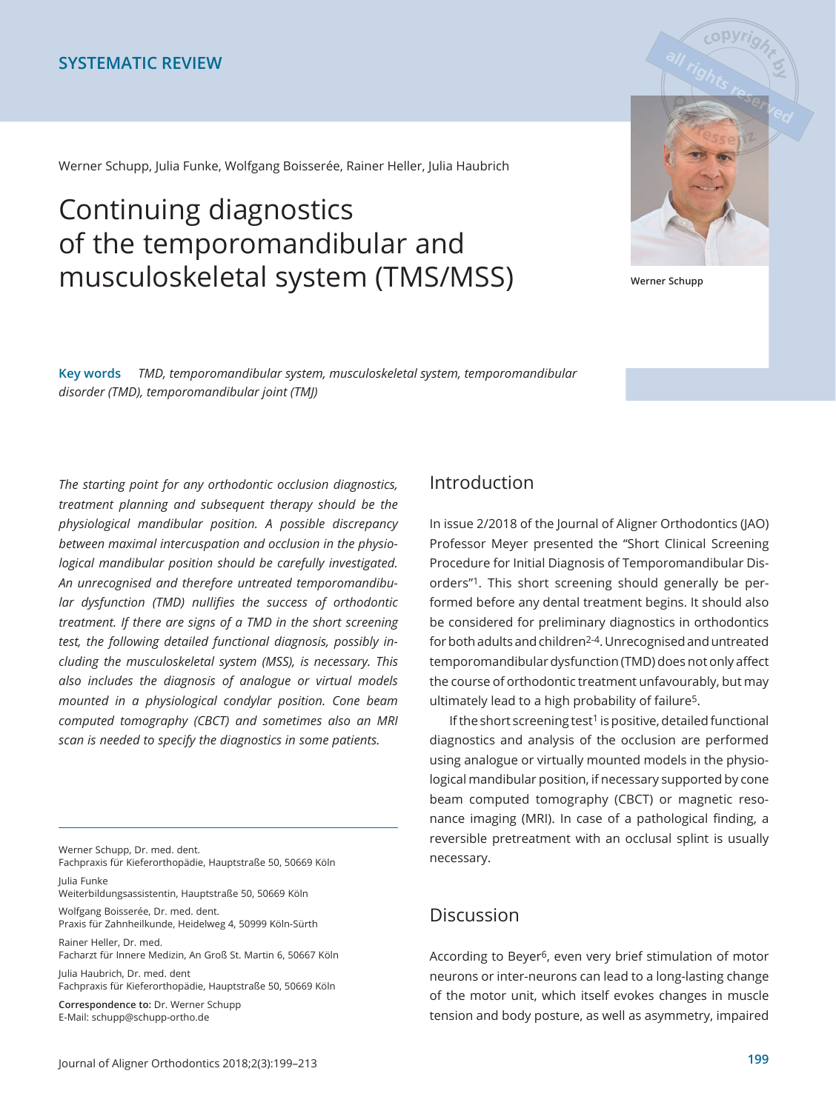Werner Schupp, Julia Funke, Wolfgang Boisserée, Rainer Heller, Julia Haubrich

# Continuing diagnostics of the temporomandibular and musculoskeletal system (TMS/MSS) **Werner Schupp**



Key words *TMD, temporomandibular system, musculoskeletal system, temporomandibular* disorder (TMD), temporomandibular joint (TMJ)

The starting point for any orthodontic occlusion diagnostics, *treatment planning and subsequent therapy should be the physiological mandibular position. A possible discrepancy between maximal intercuspation and occlusion in the physiological mandibular position should be carefully investigated. An unrecognised and therefore untreated temporomandibular dysfunction (TMD) nullifies the success of orthodontic treatment. If there are signs of a TMD in the short screening test, the following detailed functional diagnosis, possibly including the musculoskeletal system (MSS), is necessary. This also includes the diagnosis of analogue or virtual models mounted in a physiological condylar position. Cone beam computed tomography (CBCT) and sometimes also an MRI scan is needed to specify the diagnostics in some patients.*

Werner Schupp, Dr. med. dent. Fachpraxis für Kieferorthopädie, Hauptstraße 50, 50669 Köln

Julia Funke Weiterbildungsassistentin, Hauptstraße 50, 50669 Köln

Wolfgang Boisserée, Dr. med. dent. Praxis für Zahnheilkunde, Heidelweg 4, 50999 Köln-Sürth

Rainer Heller, Dr. med. Facharzt für Innere Medizin, An Groß St. Martin 6, 50667 Köln

Julia Haubrich, Dr. med. dent Fachpraxis für Kieferorthopädie, Hauptstraße 50, 50669 Köln

**Correspondence to:** Dr. Werner Schupp E-Mail: schupp@schupp-ortho.de

### Introduction

In issue 2/2018 of the Journal of Aligner Orthodontics (JAO) Professor Meyer presented the "Short Clinical Screening Procedure for Initial Diagnosis of Temporomandibular Disorders"1. This short screening should generally be performed before any dental treatment begins. It should also be considered for preliminary diagnostics in orthodontics for both adults and children2-4. Unrecognised and untreated temporomandibular dysfunction (TMD) does not only affect the course of orthodontic treatment unfavourably, but may ultimately lead to a high probability of failure5.

If the short screening test<sup>1</sup> is positive, detailed functional diagnostics and analysis of the occlusion are performed using analogue or virtually mounted models in the physiological mandibular position, if necessary supported by cone beam computed tomography (CBCT) or magnetic resonance imaging (MRI). In case of a pathological finding, a reversible pretreatment with an occlusal splint is usually necessary.

# Discussion

According to Beyer6, even very brief stimulation of motor neurons or inter-neurons can lead to a long-lasting change of the motor unit, which itself evokes changes in muscle tension and body posture, as well as asymmetry, impaired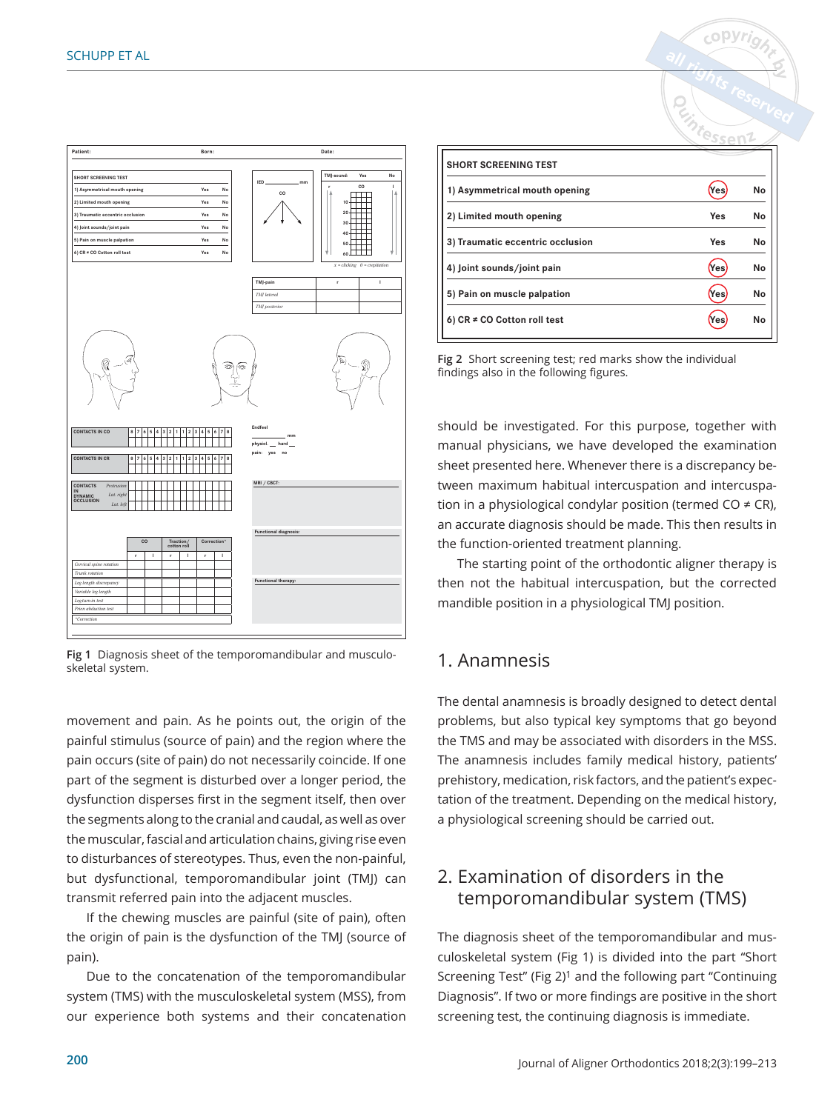

Fig 1 Diagnosis sheet of the temporomandibular and musculoskeletal system.

movement and pain. As he points out, the origin of the painful stimulus (source of pain) and the region where the pain occurs (site of pain) do not necessarily coincide. If one part of the segment is disturbed over a longer period, the dysfunction disperses first in the segment itself, then over the segments along to the cranial and caudal, as well as over the muscular, fascial and articulation chains, giving rise even to disturbances of stereotypes. Thus, even the non-painful, but dysfunctional, temporomandibular joint (TMJ) can transmit referred pain into the adjacent muscles.

If the chewing muscles are painful (site of pain), often the origin of pain is the dysfunction of the TMJ (source of pain).

Due to the concatenation of the temporomandibular system (TMS) with the musculoskeletal system (MSS), from our experience both systems and their concatenation

| <b>SHORT SCREENING TEST</b>      |     |    |
|----------------------------------|-----|----|
| 1) Asymmetrical mouth opening    | Yes | No |
| 2) Limited mouth opening         | Yes | No |
| 3) Traumatic eccentric occlusion | Yes | No |
| 4) Joint sounds/joint pain       | Yes | No |
| 5) Pain on muscle palpation      | Yes | No |
| 6) $CR \neq CO$ Cotton roll test | Yes | No |

<sub>copyrio</sub>

Fig 2 Short screening test; red marks show the individual findings also in the following figures.

should be investigated. For this purpose, together with manual physicians, we have developed the examination sheet presented here. Whenever there is a discrepancy between maximum habitual intercuspation and intercuspation in a physiological condylar position (termed CO  $\neq$  CR), an accurate diagnosis should be made. This then results in the function-oriented treatment planning.

The starting point of the orthodontic aligner therapy is then not the habitual intercuspation, but the corrected mandible position in a physiological TMJ position.

# 1. Anamnesis

The dental anamnesis is broadly designed to detect dental problems, but also typical key symptoms that go beyond the TMS and may be associated with disorders in the MSS. The anamnesis includes family medical history, patients' prehistory, medication, risk factors, and the patient's expectation of the treatment. Depending on the medical history, a physiological screening should be carried out.

# 2. Examination of disorders in the temporomandibular system (TMS)

The diagnosis sheet of the temporomandibular and musculoskeletal system (Fig 1) is divided into the part "Short Screening Test" (Fig 2)1 and the following part "Continuing Diagnosis". If two or more findings are positive in the short screening test, the continuing diagnosis is immediate.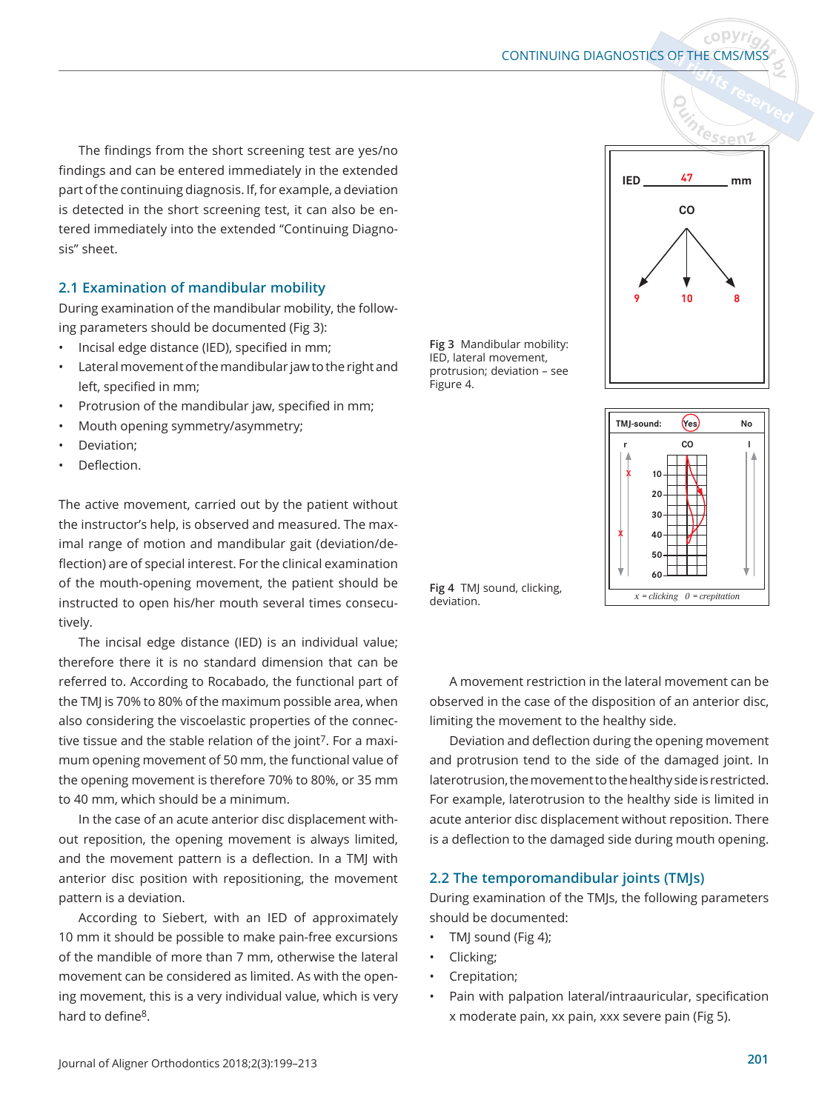The findings from the short screening test are yes/no findings and can be entered immediately in the extended part of the continuing diagnosis. If, for example, a deviation is detected in the short screening test, it can also be entered immediately into the extended "Continuing Diagnosis" sheet.

## **2.1 Examination of mandibular mobility**

During examination of the mandibular mobility, the following parameters should be documented (Fig 3):

- Incisal edge distance (IED), specified in mm;
- Lateral movement of the mandibular jaw to the right and left, specified in mm;
- Protrusion of the mandibular jaw, specified in mm;
- Mouth opening symmetry/asymmetry;
- Deviation;
- Deflection.

The active movement, carried out by the patient without the instructor's help, is observed and measured. The maximal range of motion and mandibular gait (deviation/deflection) are of special interest. For the clinical examination of the mouth-opening movement, the patient should be instructed to open his/her mouth several times consecutively.

The incisal edge distance (IED) is an individual value; therefore there it is no standard dimension that can be referred to. According to Rocabado, the functional part of the TMJ is 70% to 80% of the maximum possible area, when also considering the viscoelastic properties of the connective tissue and the stable relation of the joint<sup>7</sup>. For a maximum opening movement of 50 mm, the functional value of the opening movement is therefore 70% to 80%, or 35 mm to 40 mm, which should be a minimum.

In the case of an acute anterior disc displacement without reposition, the opening movement is always limited, and the movement pattern is a deflection. In a TMJ with anterior disc position with repositioning, the movement pattern is a deviation.

According to Siebert, with an IED of approximately 10 mm it should be possible to make pain-free excursions of the mandible of more than 7 mm, otherwise the lateral movement can be considered as limited. As with the opening movement, this is a very individual value, which is very hard to define<sup>8</sup>.

**Fig 3** Mandibular mobility: IED, lateral movement, protrusion; deviation – see Figure 4.



copv*ri* 



Fig 4 TMJ sound, clicking, deviation.

A movement restriction in the lateral movement can be observed in the case of the disposition of an anterior disc, limiting the movement to the healthy side.

Deviation and deflection during the opening movement and protrusion tend to the side of the damaged joint. In laterotrusion, the movement to the healthy side is restricted. For example, laterotrusion to the healthy side is limited in acute anterior disc displacement without reposition. There is a deflection to the damaged side during mouth opening.

#### **2.2 The temporomandibular joints (TMJs)**

During examination of the TMJs, the following parameters should be documented:

- TMJ sound (Fig 4);
- Clicking;
- Crepitation;
- Pain with palpation lateral/intraauricular, specification x moderate pain, xx pain, xxx severe pain (Fig 5).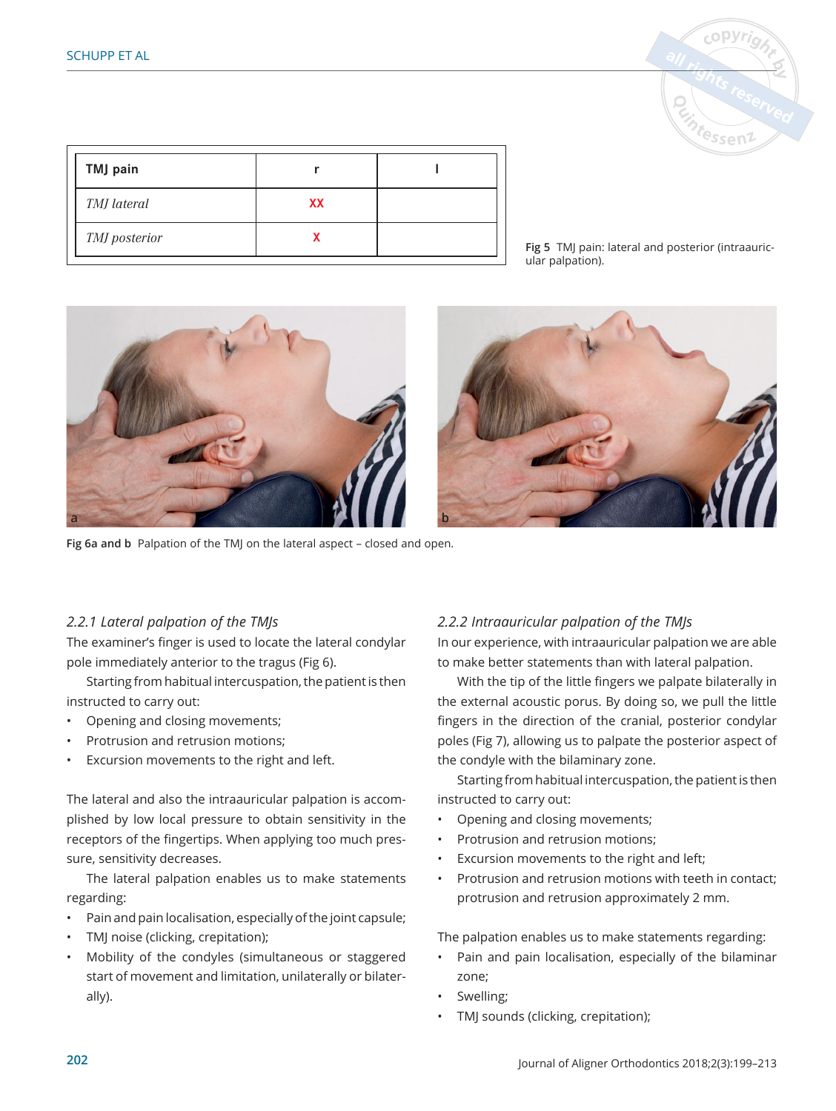

| <b>TMJ</b> pain |    |  |
|-----------------|----|--|
| TMJ lateral     | XX |  |
| TMJ posterior   |    |  |

Fig 5 TMJ pain: lateral and posterior (intraauricular palpation).



Fig 6a and b Palpation of the TMJ on the lateral aspect - closed and open.

### *2.2.1 Lateral palpation of the TMJs*

The examiner's finger is used to locate the lateral condylar pole immediately anterior to the tragus (Fig 6).

Starting from habitual intercuspation, the patient is then instructed to carry out:

- Opening and closing movements;
- Protrusion and retrusion motions;
- Excursion movements to the right and left.

The lateral and also the intraauricular palpation is accomplished by low local pressure to obtain sensitivity in the receptors of the fingertips. When applying too much pressure, sensitivity decreases.

The lateral palpation enables us to make statements regarding:

- Pain and pain localisation, especially of the joint capsule;
- TMJ noise (clicking, crepitation);
- Mobility of the condyles (simultaneous or staggered start of movement and limitation, unilaterally or bilaterally).

### *..bΖntraauricular palpation of the 70-s*

In our experience, with intraauricular palpation we are able to make better statements than with lateral palpation.

With the tip of the little fingers we palpate bilaterally in the external acoustic porus. By doing so, we pull the little fingers in the direction of the cranial, posterior condylar poles (Fig 7), allowing us to palpate the posterior aspect of the condyle with the bilaminary zone.

Starting from habitual intercuspation, the patient is then instructed to carry out:

- Opening and closing movements;
- Protrusion and retrusion motions;
- Excursion movements to the right and left;
- Protrusion and retrusion motions with teeth in contact; protrusion and retrusion approximately 2 mm.

The palpation enables us to make statements regarding:

- Pain and pain localisation, especially of the bilaminar zone;
- Swelling;
- TMJ sounds (clicking, crepitation);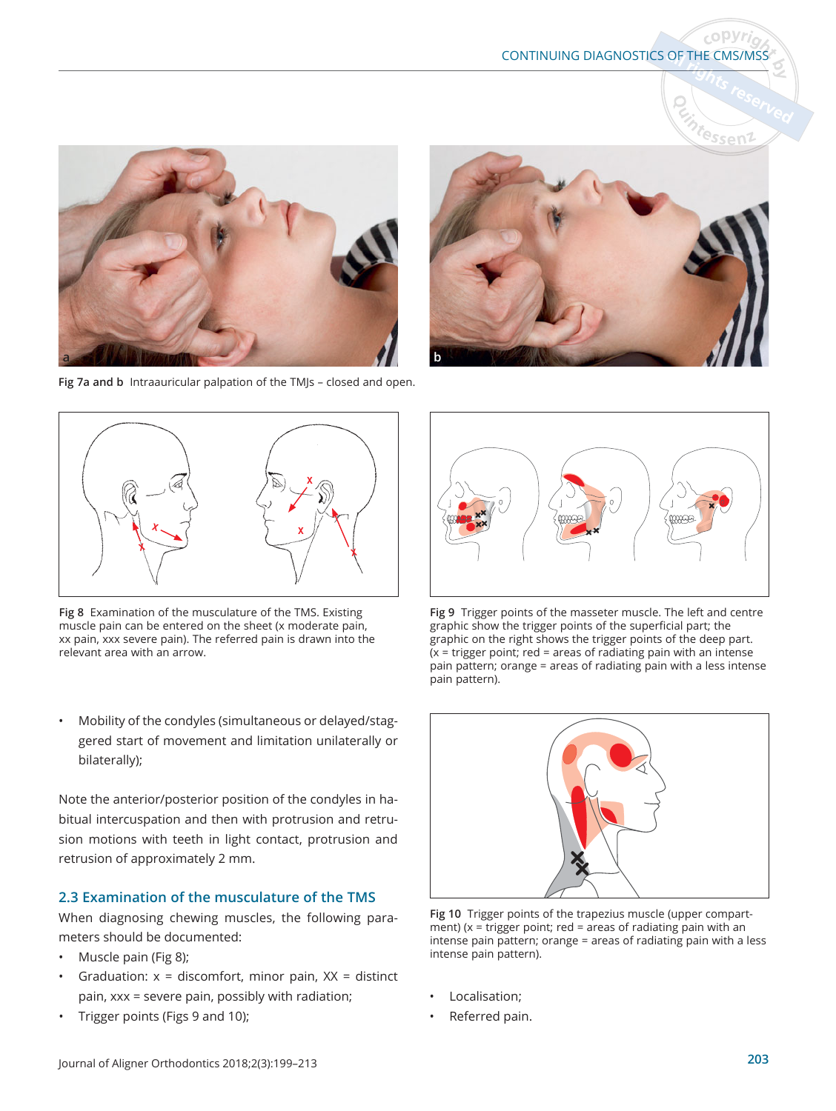# CONTINUING DIAGNOSTICS OF THE CMS/MSS

 $c$  ODVr.



Fig 7a and b Intraauricular palpation of the TMJs - closed and open.





Fig 8 Examination of the musculature of the TMS. Existing muscle pain can be entered on the sheet (x moderate pain, xx pain, xxx severe pain). The referred pain is drawn into the relevant area with an arrow.

• Mobility of the condyles (simultaneous or delayed/staggered start of movement and limitation unilaterally or bilaterally);

Note the anterior/posterior position of the condyles in habitual intercuspation and then with protrusion and retrusion motions with teeth in light contact, protrusion and retrusion of approximately 2 mm.

#### **2.3 Examination of the musculature of the TMS**

When diagnosing chewing muscles, the following parameters should be documented:

- Muscle pain (Fig 8);
- Graduation:  $x =$  discomfort, minor pain,  $XX =$  distinct pain, xxx = severe pain, possibly with radiation;
- Trigger points (Figs 9 and 10);



Fig 9 Trigger points of the masseter muscle. The left and centre graphic show the trigger points of the superficial part; the graphic on the right shows the trigger points of the deep part.  $(x = \text{trigger point}; \text{red} = \text{areas of radiating pain with an intense}$ pain pattern; orange = areas of radiating pain with a less intense pain pattern).



Fig 10 Trigger points of the trapezius muscle (upper compartment) ( $x =$  trigger point; red = areas of radiating pain with an intense pain pattern; orange = areas of radiating pain with a less intense pain pattern).

- Localisation;
- Referred pain.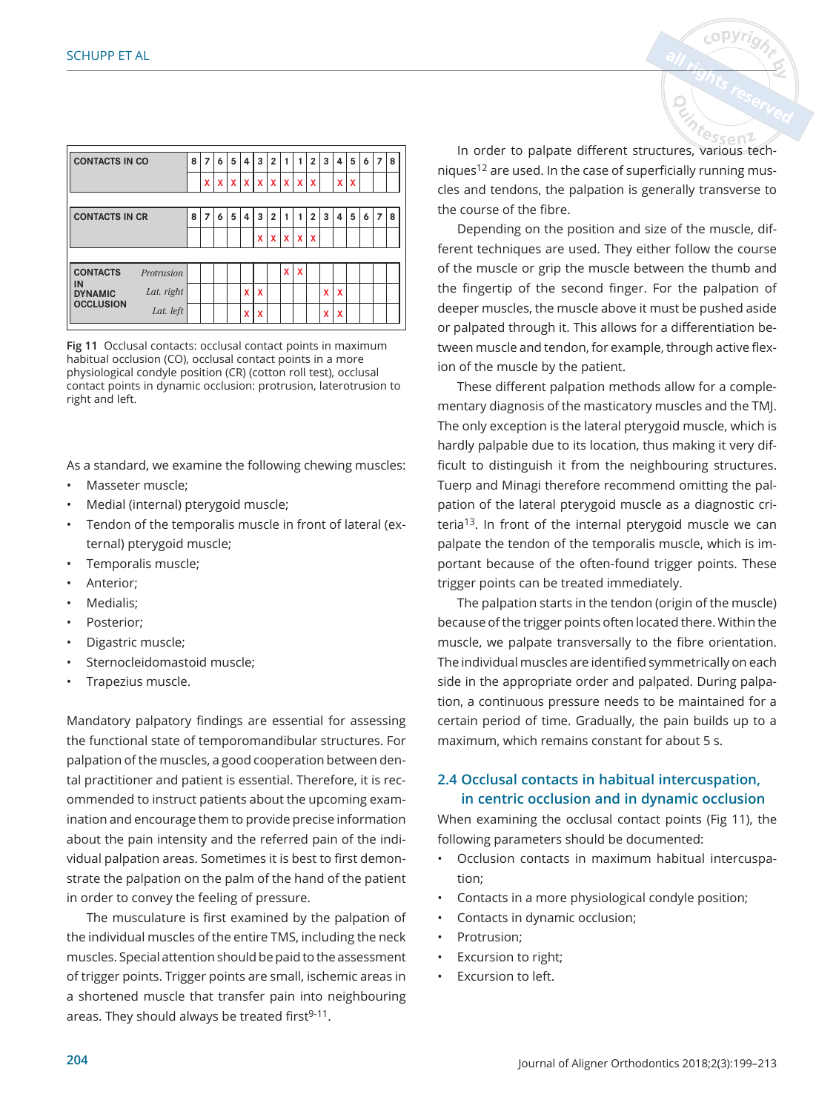| <b>CONTACTS IN CO</b>                   |            | 8 | 7 | 6            | 5            | 4 | 3 | $\overline{2}$ |             |                     | $\overline{2}$            | 3 | 4 | 5 | 6 | 7 | 8 |
|-----------------------------------------|------------|---|---|--------------|--------------|---|---|----------------|-------------|---------------------|---------------------------|---|---|---|---|---|---|
|                                         |            |   | X | $\mathbf{x}$ | $\mathbf{x}$ |   |   |                |             | $X$ $X$ $X$ $X$ $X$ |                           |   | x | X |   |   |   |
|                                         |            |   |   |              |              |   |   |                |             |                     |                           |   |   |   |   |   |   |
| <b>CONTACTS IN CR</b>                   |            | 8 | 7 | 6            | 5            | 4 | 3 | $\overline{2}$ |             | 1                   | $\overline{2}$            | 3 | 4 | 5 | 6 | 7 | 8 |
|                                         |            |   |   |              |              |   | x |                | $X$ $X$ $X$ |                     | $\boldsymbol{\mathsf{x}}$ |   |   |   |   |   |   |
|                                         |            |   |   |              |              |   |   |                |             |                     |                           |   |   |   |   |   |   |
| <b>CONTACTS</b><br>IN<br><b>DYNAMIC</b> | Protrusion |   |   |              |              |   |   |                | X           | X                   |                           |   |   |   |   |   |   |
|                                         | Lat. right |   |   |              |              | X | X |                |             |                     |                           | x | x |   |   |   |   |
| <b>OCCLUSION</b>                        | Lat. left  |   |   |              |              | X | X |                |             |                     |                           | X | X |   |   |   |   |

Fig 11 Occlusal contacts: occlusal contact points in maximum habitual occlusion (CO), occlusal contact points in a more physiological condyle position (CR) (cotton roll test), occlusal contact points in dynamic occlusion: protrusion, laterotrusion to right and left.

As a standard, we examine the following chewing muscles: • Masseter muscle;

- Medial (internal) pterygoid muscle;
- Tendon of the temporalis muscle in front of lateral (external) pterygoid muscle;
- Temporalis muscle;
- Anterior;
- Medialis;
- Posterior:
- Digastric muscle;
- Sternocleidomastoid muscle;
- Trapezius muscle.

Mandatory palpatory findings are essential for assessing the functional state of temporomandibular structures. For palpation of the muscles, a good cooperation between dental practitioner and patient is essential. Therefore, it is recommended to instruct patients about the upcoming examination and encourage them to provide precise information about the pain intensity and the referred pain of the individual palpation areas. Sometimes it is best to first demonstrate the palpation on the palm of the hand of the patient in order to convey the feeling of pressure.

The musculature is first examined by the palpation of the individual muscles of the entire TMS, including the neck muscles. Special attention should be paid to the assessment of trigger points. Trigger points are small, ischemic areas in a shortened muscle that transfer pain into neighbouring areas. They should always be treated first<sup>9-11</sup>.

<sup>e</sup>ssen2 In order to palpate different structures, various techniques<sup>12</sup> are used. In the case of superficially running muscles and tendons, the palpation is generally transverse to the course of the fibre.

Depending on the position and size of the muscle, different techniques are used. They either follow the course of the muscle or grip the muscle between the thumb and the fingertip of the second finger. For the palpation of deeper muscles, the muscle above it must be pushed aside or palpated through it. This allows for a differentiation between muscle and tendon, for example, through active flexion of the muscle by the patient.

These different palpation methods allow for a complementary diagnosis of the masticatory muscles and the TMJ. The only exception is the lateral pterygoid muscle, which is hardly palpable due to its location, thus making it very difficult to distinguish it from the neighbouring structures. Tuerp and Minagi therefore recommend omitting the palpation of the lateral pterygoid muscle as a diagnostic criteria13. In front of the internal pterygoid muscle we can palpate the tendon of the temporalis muscle, which is important because of the often-found trigger points. These trigger points can be treated immediately.

The palpation starts in the tendon (origin of the muscle) because of the trigger points often located there. Within the muscle, we palpate transversally to the fibre orientation. The individual muscles are identified symmetrically on each side in the appropriate order and palpated. During palpation, a continuous pressure needs to be maintained for a certain period of time. Gradually, the pain builds up to a maximum, which remains constant for about 5 s.

### 2.4 Occlusal contacts in habitual intercuspation, **in centric occlusion and in dynamic occlusion**

When examining the occlusal contact points (Fig 11), the following parameters should be documented:

- Occlusion contacts in maximum habitual intercuspation;
- Contacts in a more physiological condyle position;
- Contacts in dynamic occlusion;
- Protrusion;
- Excursion to right;
- Excursion to left.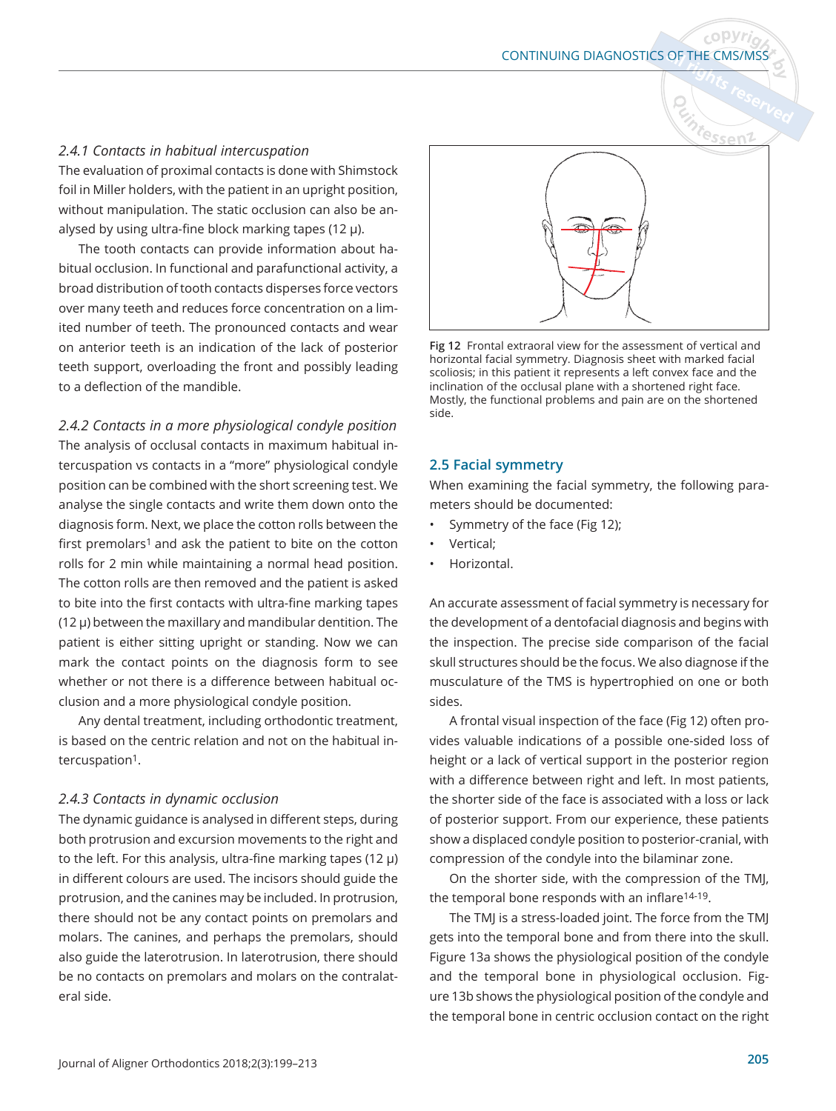#### *..bContacts in habitual intercuspation*

The evaluation of proximal contacts is done with Shimstock foil in Miller holders, with the patient in an upright position, without manipulation. The static occlusion can also be analysed by using ultra-fine block marking tapes (12  $\mu$ ).

The tooth contacts can provide information about habitual occlusion. In functional and parafunctional activity, a broad distribution of tooth contacts disperses force vectors over many teeth and reduces force concentration on a limited number of teeth. The pronounced contacts and wear on anterior teeth is an indication of the lack of posterior teeth support, overloading the front and possibly leading to a deflection of the mandible.

*..bContacts in a more physiological condyle position*  The analysis of occlusal contacts in maximum habitual intercuspation vs contacts in a "more" physiological condyle position can be combined with the short screening test. We analyse the single contacts and write them down onto the diagnosis form. Next, we place the cotton rolls between the

first premolars<sup>1</sup> and ask the patient to bite on the cotton rolls for 2 min while maintaining a normal head position.

The cotton rolls are then removed and the patient is asked to bite into the first contacts with ultra-fine marking tapes  $(12 \mu)$  between the maxillary and mandibular dentition. The patient is either sitting upright or standing. Now we can mark the contact points on the diagnosis form to see whether or not there is a difference between habitual occlusion and a more physiological condyle position.

Any dental treatment, including orthodontic treatment, is based on the centric relation and not on the habitual intercuspation<sup>1</sup>.

#### *..bContacts in dynamic occlusion*

The dynamic guidance is analysed in different steps, during both protrusion and excursion movements to the right and to the left. For this analysis, ultra-fine marking tapes (12  $\mu$ ) in different colours are used. The incisors should guide the protrusion, and the canines may be included. In protrusion, there should not be any contact points on premolars and molars. The canines, and perhaps the premolars, should also guide the laterotrusion. In laterotrusion, there should be no contacts on premolars and molars on the contralateral side.



Fig 12 Frontal extraoral view for the assessment of vertical and horizontal facial symmetry. Diagnosis sheet with marked facial scoliosis; in this patient it represents a left convex face and the inclination of the occlusal plane with a shortened right face. Mostly, the functional problems and pain are on the shortened side.

#### **2.5 Facial symmetry**

When examining the facial symmetry, the following parameters should be documented:

- Symmetry of the face (Fig 12);
- Vertical;
- Horizontal.

An accurate assessment of facial symmetry is necessary for the development of a dentofacial diagnosis and begins with the inspection. The precise side comparison of the facial skull structures should be the focus. We also diagnose if the musculature of the TMS is hypertrophied on one or both sides.

A frontal visual inspection of the face (Fig 12) often provides valuable indications of a possible one-sided loss of height or a lack of vertical support in the posterior region with a difference between right and left. In most patients, the shorter side of the face is associated with a loss or lack of posterior support. From our experience, these patients show a displaced condyle position to posterior-cranial, with compression of the condyle into the bilaminar zone.

On the shorter side, with the compression of the TMJ, the temporal bone responds with an inflare<sup>14-19</sup>.

The TMJ is a stress-loaded joint. The force from the TMJ gets into the temporal bone and from there into the skull. Figure 13a shows the physiological position of the condyle and the temporal bone in physiological occlusion. Figure 13b shows the physiological position of the condyle and the temporal bone in centric occlusion contact on the right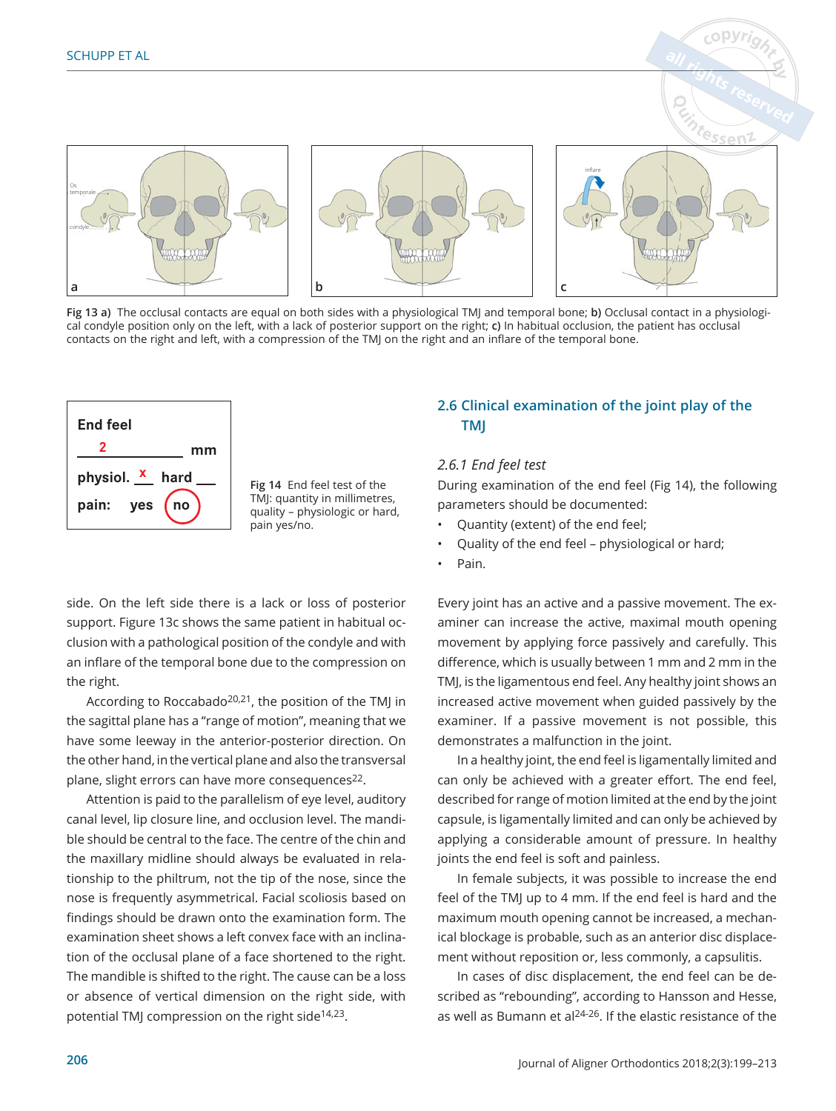

Fig 13 a) The occlusal contacts are equal on both sides with a physiological TMJ and temporal bone; b) Occlusal contact in a physiological condyle position only on the left, with a lack of posterior support on the right; **c)** In habitual occlusion, the patient has occlusal contacts on the right and left, with a compression of the TMJ on the right and an inflare of the temporal bone.



Fig 14 End feel test of the TMJ: quantity in millimetres, quality – physiologic or hard, pain yes/no.

side. On the left side there is a lack or loss of posterior support. Figure 13c shows the same patient in habitual occlusion with a pathological position of the condyle and with an inflare of the temporal bone due to the compression on the right.

According to Roccabado<sup>20,21</sup>, the position of the TMJ in the sagittal plane has a "range of motion", meaning that we have some leeway in the anterior-posterior direction. On the other hand, in the vertical plane and also the transversal plane, slight errors can have more consequences<sup>22</sup>.

Attention is paid to the parallelism of eye level, auditory canal level, lip closure line, and occlusion level. The mandible should be central to the face. The centre of the chin and the maxillary midline should always be evaluated in relationship to the philtrum, not the tip of the nose, since the nose is frequently asymmetrical. Facial scoliosis based on findings should be drawn onto the examination form. The examination sheet shows a left convex face with an inclination of the occlusal plane of a face shortened to the right. The mandible is shifted to the right. The cause can be a loss or absence of vertical dimension on the right side, with potential TMJ compression on the right side14,23.

### **2.6 Clinical examination of the joint play of the 70-**

copyr

#### *..b(nd feel test*

During examination of the end feel (Fig 14), the following parameters should be documented:

- Quantity (extent) of the end feel;
- Quality of the end feel physiological or hard;
- Pain.

Every joint has an active and a passive movement. The examiner can increase the active, maximal mouth opening movement by applying force passively and carefully. This difference, which is usually between 1 mm and 2 mm in the TMJ, is the ligamentous end feel. Any healthy joint shows an increased active movement when guided passively by the examiner. If a passive movement is not possible, this demonstrates a malfunction in the joint.

In a healthy joint, the end feel is ligamentally limited and can only be achieved with a greater effort. The end feel, described for range of motion limited at the end by the joint capsule, is ligamentally limited and can only be achieved by applying a considerable amount of pressure. In healthy joints the end feel is soft and painless.

In female subjects, it was possible to increase the end feel of the TMJ up to 4 mm. If the end feel is hard and the maximum mouth opening cannot be increased, a mechanical blockage is probable, such as an anterior disc displacement without reposition or, less commonly, a capsulitis.

In cases of disc displacement, the end feel can be described as "rebounding", according to Hansson and Hesse, as well as Bumann et al24-26. If the elastic resistance of the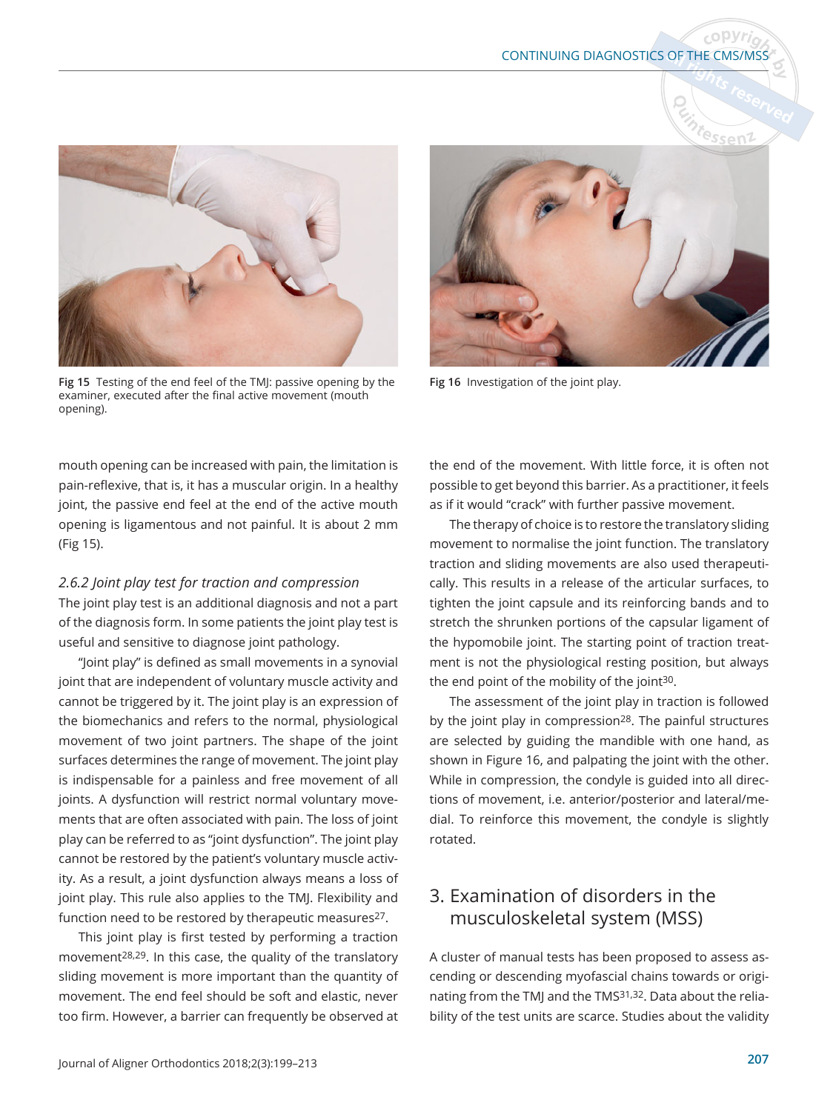

Fig 15 Testing of the end feel of the TMJ: passive opening by the examiner, executed after the final active movement (mouth opening).

mouth opening can be increased with pain, the limitation is pain-reflexive, that is, it has a muscular origin. In a healthy joint, the passive end feel at the end of the active mouth opening is ligamentous and not painful. It is about 2 mm (Fig 15).

#### *..b-oint play test for traction and compression*

The joint play test is an additional diagnosis and not a part of the diagnosis form. In some patients the joint play test is useful and sensitive to diagnose joint pathology.

"Joint play" is defined as small movements in a synovial joint that are independent of voluntary muscle activity and cannot be triggered by it. The joint play is an expression of the biomechanics and refers to the normal, physiological movement of two joint partners. The shape of the joint surfaces determines the range of movement. The joint play is indispensable for a painless and free movement of all joints. A dysfunction will restrict normal voluntary movements that are often associated with pain. The loss of joint play can be referred to as "joint dysfunction". The joint play cannot be restored by the patient's voluntary muscle activity. As a result, a joint dysfunction always means a loss of joint play. This rule also applies to the TMJ. Flexibility and function need to be restored by therapeutic measures<sup>27</sup>.

This joint play is first tested by performing a traction movement28,29. In this case, the quality of the translatory sliding movement is more important than the quantity of movement. The end feel should be soft and elastic, never too firm. However, a barrier can frequently be observed at



Fig 16 Investigation of the joint play.

the end of the movement. With little force, it is often not possible to get beyond this barrier. As a practitioner, it feels as if it would "crack" with further passive movement.

The therapy of choice is to restore the translatory sliding movement to normalise the joint function. The translatory traction and sliding movements are also used therapeutically. This results in a release of the articular surfaces, to tighten the joint capsule and its reinforcing bands and to stretch the shrunken portions of the capsular ligament of the hypomobile joint. The starting point of traction treatment is not the physiological resting position, but always the end point of the mobility of the joint<sup>30</sup>.

The assessment of the joint play in traction is followed by the joint play in compression<sup>28</sup>. The painful structures are selected by guiding the mandible with one hand, as shown in Figure 16, and palpating the joint with the other. While in compression, the condyle is guided into all directions of movement, i.e. anterior/posterior and lateral/medial. To reinforce this movement, the condyle is slightly rotated.

# 3. Examination of disorders in the musculoskeletal system (MSS)

A cluster of manual tests has been proposed to assess ascending or descending myofascial chains towards or originating from the TMJ and the TMS31,32. Data about the reliability of the test units are scarce. Studies about the validity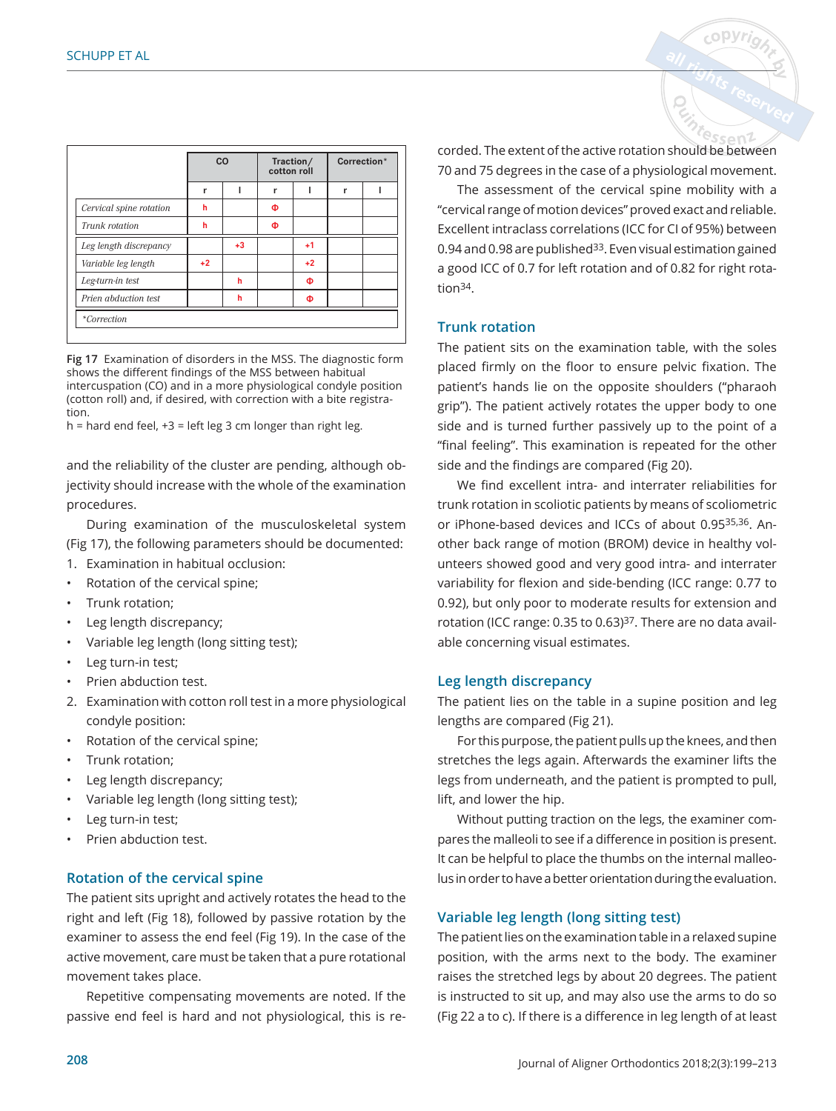|                         | CO   |      |   | Traction/<br>cotton roll | Correction* |  |  |  |
|-------------------------|------|------|---|--------------------------|-------------|--|--|--|
|                         | r    |      | r |                          | r           |  |  |  |
| Cervical spine rotation | h    |      | Φ |                          |             |  |  |  |
| Trunk rotation          | h    |      | Ф |                          |             |  |  |  |
| Leg length discrepancy  |      | $+3$ |   | $+1$                     |             |  |  |  |
| Variable leg length     | $+2$ |      |   | $+2$                     |             |  |  |  |
| Leg-turn-in test        |      | h    |   | Φ                        |             |  |  |  |
| Prien abduction test    |      | h    |   | Φ                        |             |  |  |  |
| <i>*Correction</i>      |      |      |   |                          |             |  |  |  |

Fig 17 Examination of disorders in the MSS. The diagnostic form shows the different findings of the MSS between habitual intercuspation (CO) and in a more physiological condyle position (cotton roll) and, if desired, with correction with a bite registration.

 $h =$  hard end feel,  $+3 =$  left leg 3 cm longer than right leg.

and the reliability of the cluster are pending, although objectivity should increase with the whole of the examination procedures.

During examination of the musculoskeletal system (Fig 17), the following parameters should be documented:

- 1. Examination in habitual occlusion:
- Rotation of the cervical spine;
- Trunk rotation;
- Leg length discrepancy;
- Variable leg length (long sitting test);
- Leg turn-in test;
- Prien abduction test.
- 2. Examination with cotton roll test in a more physiological condyle position:
- Rotation of the cervical spine;
- Trunk rotation;
- Leg length discrepancy;
- Variable leg length (long sitting test);
- Leg turn-in test;
- Prien abduction test.

#### **Rotation of the cervical spine**

The patient sits upright and actively rotates the head to the right and left (Fig 18), followed by passive rotation by the examiner to assess the end feel (Fig 19). In the case of the active movement, care must be taken that a pure rotational movement takes place.

Repetitive compensating movements are noted. If the passive end feel is hard and not physiological, this is recorded. The extent of the active rotation should be between 70 and 75 degrees in the case of a physiological movement.

<sup>8</sup>ssen1

The assessment of the cervical spine mobility with a "cervical range of motion devices" proved exact and reliable. Excellent intraclass correlations (ICC for CI of 95%) between 0.94 and 0.98 are published<sup>33</sup>. Even visual estimation gained a good ICC of 0.7 for left rotation and of 0.82 for right rotation34.

#### **Trunk rotation**

The patient sits on the examination table, with the soles placed firmly on the floor to ensure pelvic fixation. The patient's hands lie on the opposite shoulders ("pharaoh grip"). The patient actively rotates the upper body to one side and is turned further passively up to the point of a "final feeling". This examination is repeated for the other side and the findings are compared (Fig 20).

We find excellent intra- and interrater reliabilities for trunk rotation in scoliotic patients by means of scoliometric or iPhone-based devices and ICCs of about 0.9535,36. Another back range of motion (BROM) device in healthy volunteers showed good and very good intra- and interrater variability for flexion and side-bending (ICC range: 0.77 to 0.92), but only poor to moderate results for extension and rotation (ICC range: 0.35 to 0.63)<sup>37</sup>. There are no data available concerning visual estimates.

#### **Leg length discrepancy**

The patient lies on the table in a supine position and leg lengths are compared (Fig 21).

For this purpose, the patient pulls up the knees, and then stretches the legs again. Afterwards the examiner lifts the legs from underneath, and the patient is prompted to pull, lift, and lower the hip.

Without putting traction on the legs, the examiner compares the malleoli to see if a difference in position is present. It can be helpful to place the thumbs on the internal malleolus in order to have a better orientation during the evaluation.

#### **Variable leg length (long sitting test)**

The patient lies on the examination table in a relaxed supine position, with the arms next to the body. The examiner raises the stretched legs by about 20 degrees. The patient is instructed to sit up, and may also use the arms to do so (Fig 22 a to c). If there is a difference in leg length of at least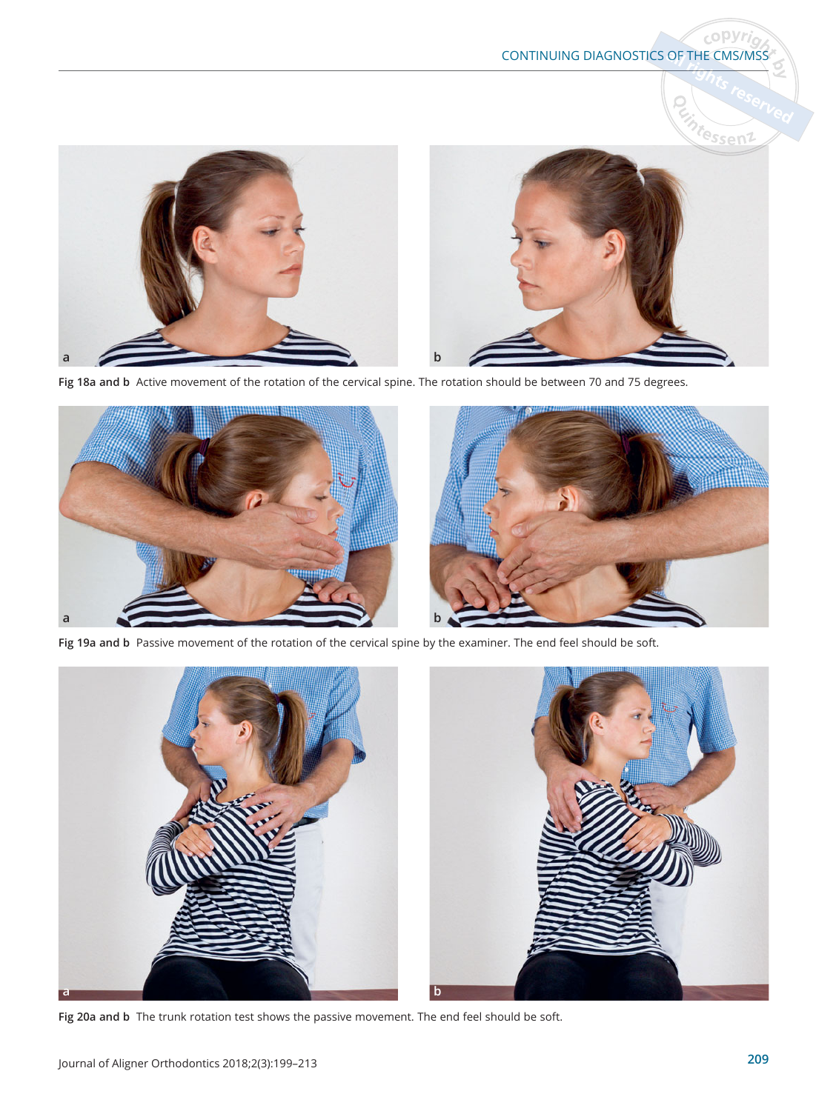

Fig 18a and b Active movement of the rotation of the cervical spine. The rotation should be between 70 and 75 degrees.



Fig 19a and b Passive movement of the rotation of the cervical spine by the examiner. The end feel should be soft.



Fig 20a and b The trunk rotation test shows the passive movement. The end feel should be soft.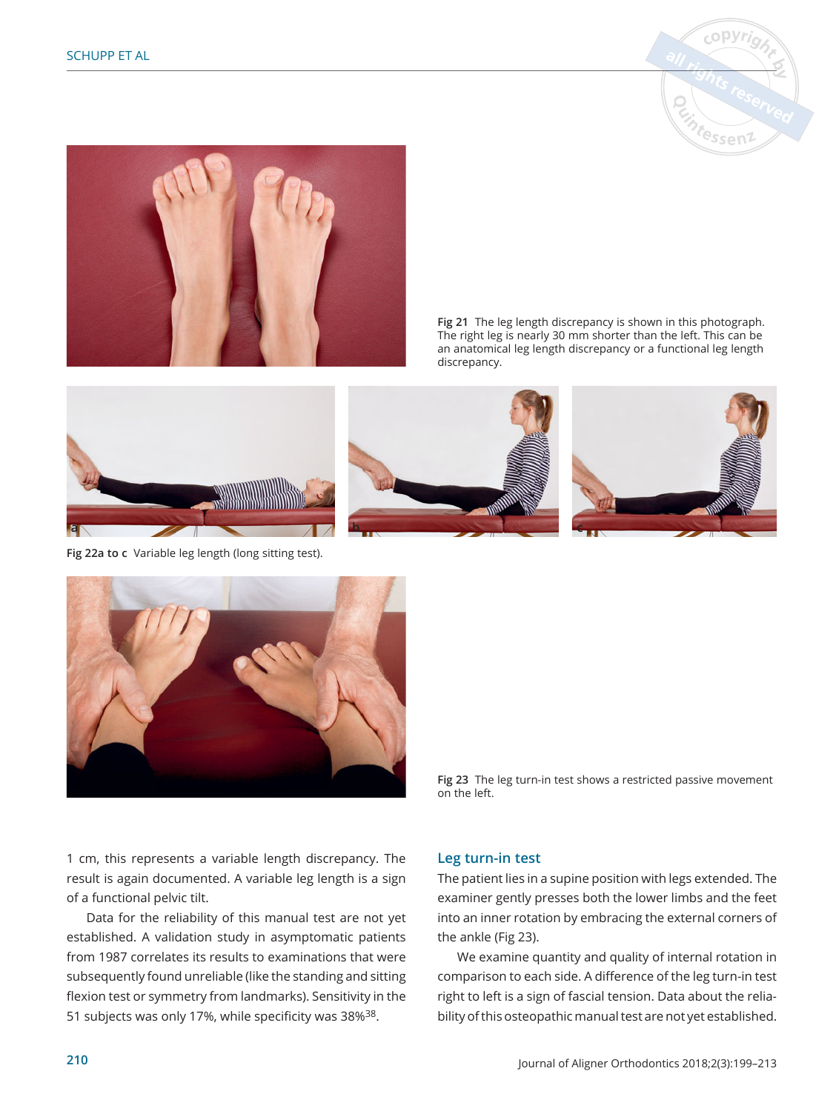



Fig 21 The leg length discrepancy is shown in this photograph. The right leg is nearly 30 mm shorter than the left. This can be an anatomical leg length discrepancy or a functional leg length discrepancy.



Fig 22a to c Variable leg length (long sitting test).







Fig 23 The leg turn-in test shows a restricted passive movement on the left.

1 cm, this represents a variable length discrepancy. The result is again documented. A variable leg length is a sign of a functional pelvic tilt.

Data for the reliability of this manual test are not yet established. A validation study in asymptomatic patients from 1987 correlates its results to examinations that were subsequently found unreliable (like the standing and sitting flexion test or symmetry from landmarks). Sensitivity in the 51 subjects was only 17%, while specificity was 38%<sup>38</sup>.

#### **Leg turn-in test**

The patient lies in a supine position with legs extended. The examiner gently presses both the lower limbs and the feet into an inner rotation by embracing the external corners of the ankle (Fig 23).

We examine quantity and quality of internal rotation in comparison to each side. A difference of the leg turn-in test right to left is a sign of fascial tension. Data about the reliability of this osteopathic manual test are not yet established.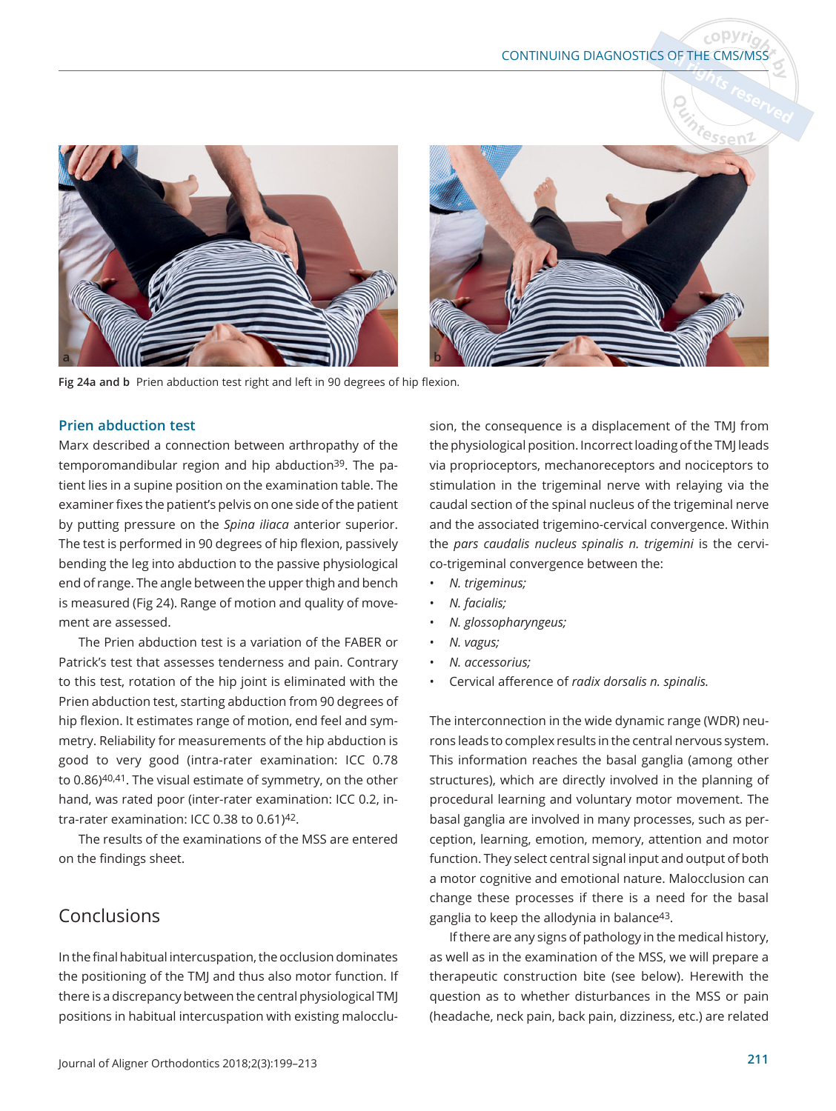



Fig 24a and b Prien abduction test right and left in 90 degrees of hip flexion.

#### **Prien abduction test**

Marx described a connection between arthropathy of the temporomandibular region and hip abduction39. The patient lies in a supine position on the examination table. The examiner fixes the patient's pelvis on one side of the patient by putting pressure on the *Spina iliaca* anterior superior. The test is performed in 90 degrees of hip flexion, passively bending the leg into abduction to the passive physiological end of range. The angle between the upper thigh and bench is measured (Fig 24). Range of motion and quality of movement are assessed.

The Prien abduction test is a variation of the FABER or Patrick's test that assesses tenderness and pain. Contrary to this test, rotation of the hip joint is eliminated with the Prien abduction test, starting abduction from 90 degrees of hip flexion. It estimates range of motion, end feel and symmetry. Reliability for measurements of the hip abduction is good to very good (intra-rater examination: ICC 0.78 to 0.86)40,41. The visual estimate of symmetry, on the other hand, was rated poor (inter-rater examination: ICC 0.2, intra-rater examination: ICC 0.38 to 0.61)42.

The results of the examinations of the MSS are entered on the findings sheet.

# Conclusions

In the final habitual intercuspation, the occlusion dominates the positioning of the TMJ and thus also motor function. If there is a discrepancy between the central physiological TMJ positions in habitual intercuspation with existing malocclusion, the consequence is a displacement of the TMJ from the physiological position. Incorrect loading of the TMJ leads via proprioceptors, mechanoreceptors and nociceptors to stimulation in the trigeminal nerve with relaying via the caudal section of the spinal nucleus of the trigeminal nerve and the associated trigemino-cervical convergence. Within the *pars caudalis nucleus spinalis n. trigemini* is the cervico-trigeminal convergence between the:

- *1. trigeminus*
- *1. facialis*
- *1. glossopharyngeus*
- *1. vagus*
- *1. accessorius*
- Cervical afference of *radix dorsalis n. spinalis.*

The interconnection in the wide dynamic range (WDR) neurons leads to complex results in the central nervous system. This information reaches the basal ganglia (among other structures), which are directly involved in the planning of procedural learning and voluntary motor movement. The basal ganglia are involved in many processes, such as perception, learning, emotion, memory, attention and motor function. They select central signal input and output of both a motor cognitive and emotional nature. Malocclusion can change these processes if there is a need for the basal ganglia to keep the allodynia in balance<sup>43</sup>.

If there are any signs of pathology in the medical history, as well as in the examination of the MSS, we will prepare a therapeutic construction bite (see below). Herewith the question as to whether disturbances in the MSS or pain (headache, neck pain, back pain, dizziness, etc.) are related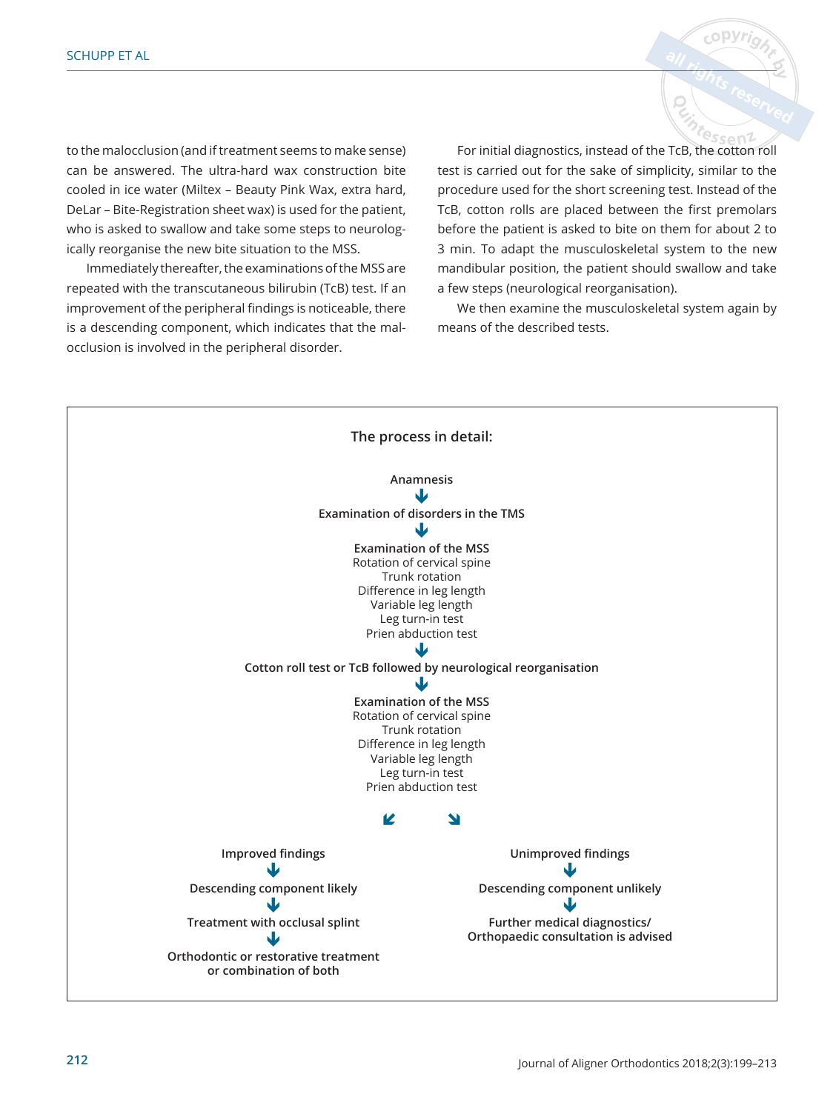to the malocclusion (and if treatment seems to make sense) can be answered. The ultra-hard wax construction bite cooled in ice water (Miltex – Beauty Pink Wax, extra hard, DeLar – Bite-Registration sheet wax) is used for the patient, who is asked to swallow and take some steps to neurologically reorganise the new bite situation to the MSS.

Immediately thereafter, the examinations of the MSS are repeated with the transcutaneous bilirubin (TcB) test. If an improvement of the peripheral findings is noticeable, there is a descending component, which indicates that the malocclusion is involved in the peripheral disorder.

<sup>8</sup>Ssen2 For initial diagnostics, instead of the TcB, the cotton roll test is carried out for the sake of simplicity, similar to the procedure used for the short screening test. Instead of the TcB, cotton rolls are placed between the first premolars before the patient is asked to bite on them for about 2 to 3 min. To adapt the musculoskeletal system to the new mandibular position, the patient should swallow and take a few steps (neurological reorganisation).

copyr

We then examine the musculoskeletal system again by means of the described tests.